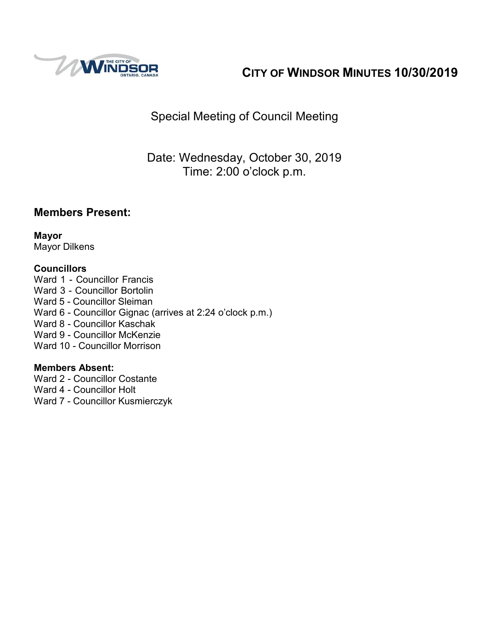

# **CITY OF WINDSOR MINUTES 10/30/2019**

# Special Meeting of Council Meeting

## Date: Wednesday, October 30, 2019 Time: 2:00 o'clock p.m.

#### **Members Present:**

**Mayor** Mayor Dilkens

#### **Councillors**

Ward 1 - Councillor Francis Ward 3 - Councillor Bortolin Ward 5 - Councillor Sleiman Ward 6 - Councillor Gignac (arrives at 2:24 o'clock p.m.) Ward 8 - Councillor Kaschak Ward 9 - Councillor McKenzie Ward 10 - Councillor Morrison

#### **Members Absent:**

- Ward 2 Councillor Costante
- Ward 4 Councillor Holt
- Ward 7 Councillor Kusmierczyk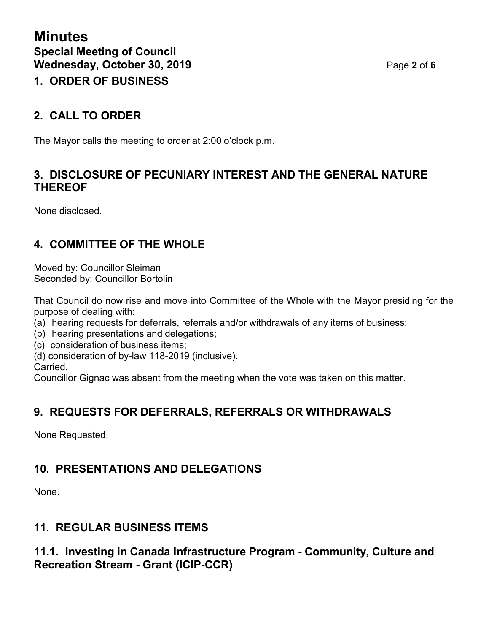#### **1. ORDER OF BUSINESS**

## **2. CALL TO ORDER**

The Mayor calls the meeting to order at 2:00 o'clock p.m.

#### **3. DISCLOSURE OF PECUNIARY INTEREST AND THE GENERAL NATURE THEREOF**

None disclosed.

## **4. COMMITTEE OF THE WHOLE**

Moved by: Councillor Sleiman Seconded by: Councillor Bortolin

That Council do now rise and move into Committee of the Whole with the Mayor presiding for the purpose of dealing with:

- (a) hearing requests for deferrals, referrals and/or withdrawals of any items of business;
- (b) hearing presentations and delegations;
- (c) consideration of business items;
- (d) consideration of by-law 118-2019 (inclusive).

Carried.

Councillor Gignac was absent from the meeting when the vote was taken on this matter.

## **9. REQUESTS FOR DEFERRALS, REFERRALS OR WITHDRAWALS**

None Requested.

## **10. PRESENTATIONS AND DELEGATIONS**

None.

## **11. REGULAR BUSINESS ITEMS**

#### **11.1. Investing in Canada Infrastructure Program - Community, Culture and Recreation Stream - Grant (ICIP-CCR)**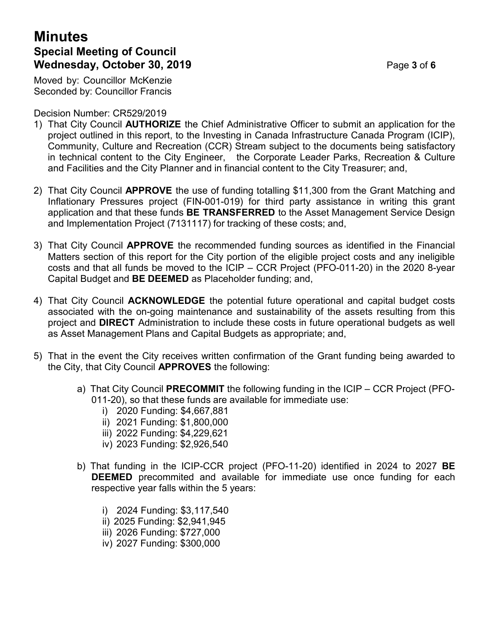## **Minutes Special Meeting of Council Wednesday, October 30, 2019** Page **3** of **6**

Moved by: Councillor McKenzie Seconded by: Councillor Francis

Decision Number: CR529/2019

- 1) That City Council **AUTHORIZE** the Chief Administrative Officer to submit an application for the project outlined in this report, to the Investing in Canada Infrastructure Canada Program (ICIP), Community, Culture and Recreation (CCR) Stream subject to the documents being satisfactory in technical content to the City Engineer, the Corporate Leader Parks, Recreation & Culture and Facilities and the City Planner and in financial content to the City Treasurer; and,
- 2) That City Council **APPROVE** the use of funding totalling \$11,300 from the Grant Matching and Inflationary Pressures project (FIN-001-019) for third party assistance in writing this grant application and that these funds **BE TRANSFERRED** to the Asset Management Service Design and Implementation Project (7131117) for tracking of these costs; and,
- 3) That City Council **APPROVE** the recommended funding sources as identified in the Financial Matters section of this report for the City portion of the eligible project costs and any ineligible costs and that all funds be moved to the ICIP – CCR Project (PFO-011-20) in the 2020 8-year Capital Budget and **BE DEEMED** as Placeholder funding; and,
- 4) That City Council **ACKNOWLEDGE** the potential future operational and capital budget costs associated with the on-going maintenance and sustainability of the assets resulting from this project and **DIRECT** Administration to include these costs in future operational budgets as well as Asset Management Plans and Capital Budgets as appropriate; and,
- 5) That in the event the City receives written confirmation of the Grant funding being awarded to the City, that City Council **APPROVES** the following:
	- a) That City Council **PRECOMMIT** the following funding in the ICIP CCR Project (PFO-011-20), so that these funds are available for immediate use:
		- i) 2020 Funding: \$4,667,881
		- ii) 2021 Funding: \$1,800,000
		- iii) 2022 Funding: \$4,229,621
		- iv) 2023 Funding: \$2,926,540
	- b) That funding in the ICIP-CCR project (PFO-11-20) identified in 2024 to 2027 **BE DEEMED** precommited and available for immediate use once funding for each respective year falls within the 5 years:
		- i) 2024 Funding: \$3,117,540
		- ii) 2025 Funding: \$2,941,945
		- iii) 2026 Funding: \$727,000
		- iv) 2027 Funding: \$300,000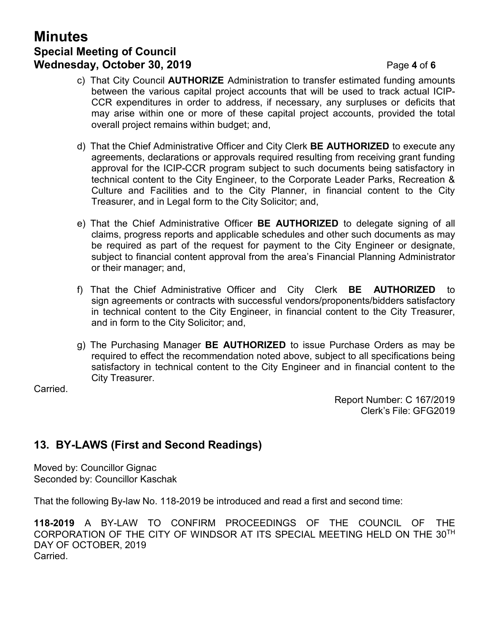# **Minutes Special Meeting of Council Wednesday, October 30, 2019** Page **4** of **6**

- c) That City Council **AUTHORIZE** Administration to transfer estimated funding amounts between the various capital project accounts that will be used to track actual ICIP-CCR expenditures in order to address, if necessary, any surpluses or deficits that may arise within one or more of these capital project accounts, provided the total overall project remains within budget; and,
- d) That the Chief Administrative Officer and City Clerk **BE AUTHORIZED** to execute any agreements, declarations or approvals required resulting from receiving grant funding approval for the ICIP-CCR program subject to such documents being satisfactory in technical content to the City Engineer, to the Corporate Leader Parks, Recreation & Culture and Facilities and to the City Planner, in financial content to the City Treasurer, and in Legal form to the City Solicitor; and,
- e) That the Chief Administrative Officer **BE AUTHORIZED** to delegate signing of all claims, progress reports and applicable schedules and other such documents as may be required as part of the request for payment to the City Engineer or designate, subject to financial content approval from the area's Financial Planning Administrator or their manager; and,
- f) That the Chief Administrative Officer and City Clerk **BE AUTHORIZED** to sign agreements or contracts with successful vendors/proponents/bidders satisfactory in technical content to the City Engineer, in financial content to the City Treasurer, and in form to the City Solicitor; and,
- g) The Purchasing Manager **BE AUTHORIZED** to issue Purchase Orders as may be required to effect the recommendation noted above, subject to all specifications being satisfactory in technical content to the City Engineer and in financial content to the City Treasurer.

Carried.

Report Number: C 167/2019 Clerk's File: GFG2019

## **13. BY-LAWS (First and Second Readings)**

Moved by: Councillor Gignac Seconded by: Councillor Kaschak

That the following By-law No. 118-2019 be introduced and read a first and second time:

**118-2019** A BY-LAW TO CONFIRM PROCEEDINGS OF THE COUNCIL OF THE CORPORATION OF THE CITY OF WINDSOR AT ITS SPECIAL MEETING HELD ON THE 30TH DAY OF OCTOBER, 2019 Carried.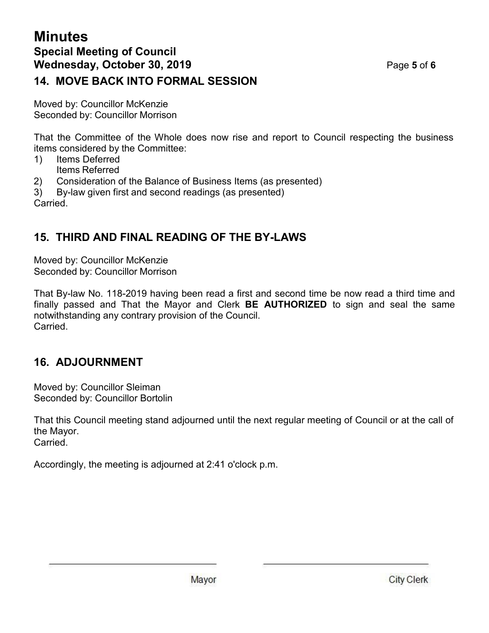## **Minutes Special Meeting of Council Wednesday, October 30, 2019** Page **5** of **6 14. MOVE BACK INTO FORMAL SESSION**

Moved by: Councillor McKenzie Seconded by: Councillor Morrison

That the Committee of the Whole does now rise and report to Council respecting the business items considered by the Committee:

- 1) Items Deferred Items Referred
- 2) Consideration of the Balance of Business Items (as presented)
- 3) By-law given first and second readings (as presented)

Carried.

## **15. THIRD AND FINAL READING OF THE BY-LAWS**

Moved by: Councillor McKenzie Seconded by: Councillor Morrison

That By-law No. 118-2019 having been read a first and second time be now read a third time and finally passed and That the Mayor and Clerk **BE AUTHORIZED** to sign and seal the same notwithstanding any contrary provision of the Council. Carried.

## **16. ADJOURNMENT**

Moved by: Councillor Sleiman Seconded by: Councillor Bortolin

That this Council meeting stand adjourned until the next regular meeting of Council or at the call of the Mayor. **Carried** 

Accordingly, the meeting is adjourned at 2:41 o'clock p.m.